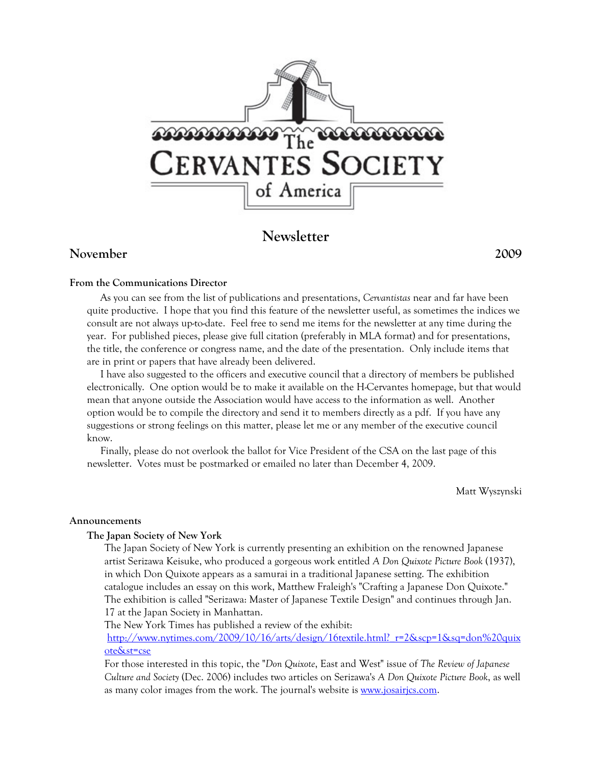

# **Newsletter**

## **November 2009**

#### **From the Communications Director**

 As you can see from the list of publications and presentations, *Cervantistas* near and far have been quite productive. I hope that you find this feature of the newsletter useful, as sometimes the indices we consult are not always up-to-date. Feel free to send me items for the newsletter at any time during the year. For published pieces, please give full citation (preferably in MLA format) and for presentations, the title, the conference or congress name, and the date of the presentation. Only include items that are in print or papers that have already been delivered.

 I have also suggested to the officers and executive council that a directory of members be published electronically. One option would be to make it available on the H-Cervantes homepage, but that would mean that anyone outside the Association would have access to the information as well. Another option would be to compile the directory and send it to members directly as a pdf. If you have any suggestions or strong feelings on this matter, please let me or any member of the executive council know.

 Finally, please do not overlook the ballot for Vice President of the CSA on the last page of this newsletter. Votes must be postmarked or emailed no later than December 4, 2009.

Matt Wyszynski

#### **Announcements**

#### **The Japan Society of New York**

The Japan Society of New York is currently presenting an exhibition on the renowned Japanese artist Serizawa Keisuke, who produced a gorgeous work entitled *A Don Quixote Picture Book* (1937), in which Don Quixote appears as a samurai in a traditional Japanese setting. The exhibition catalogue includes an essay on this work, Matthew Fraleigh's "Crafting a Japanese Don Quixote." The exhibition is called "Serizawa: Master of Japanese Textile Design" and continues through Jan. 17 at the Japan Society in Manhattan.

The New York Times has published a review of the exhibit:

http://www.nytimes.com/2009/10/16/arts/design/16textile.html?\_r=2&scp=1&sq=don%20quix ote&st=cse

For those interested in this topic, the "*Don Quixote*, East and West" issue of *The Review of Japanese Culture and Society* (Dec. 2006) includes two articles on Serizawa's *A Don Quixote Picture Book*, as well as many color images from the work. The journal's website is <u>www.josairjcs.com</u>.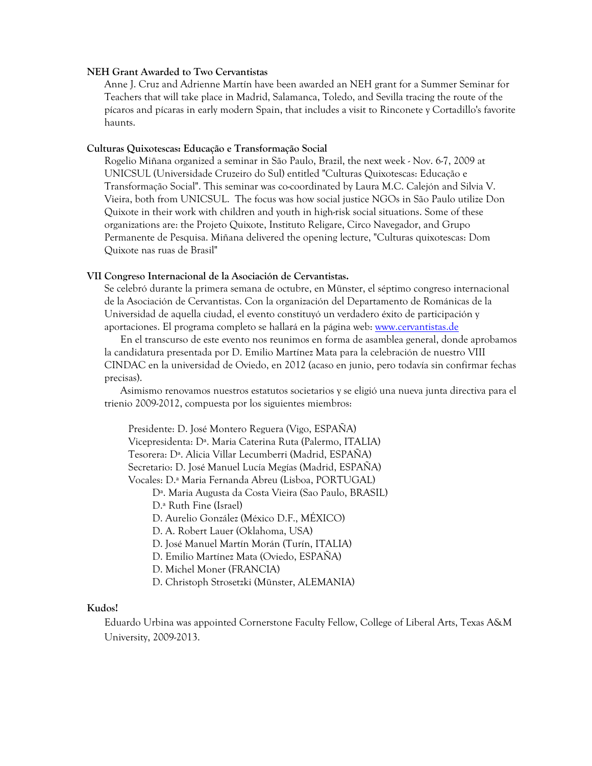#### **NEH Grant Awarded to Two Cervantistas**

Anne J. Cruz and Adrienne Martín have been awarded an NEH grant for a Summer Seminar for Teachers that will take place in Madrid, Salamanca, Toledo, and Sevilla tracing the route of the pícaros and pícaras in early modern Spain, that includes a visit to Rinconete y Cortadillo's favorite haunts.

#### **Culturas Quixotescas: Educação e Transformação Social**

Rogelio Miñana organized a seminar in São Paulo, Brazil, the next week - Nov. 6-7, 2009 at UNICSUL (Universidade Cruzeiro do Sul) entitled "Culturas Quixotescas: Educação e Transformação Social". This seminar was co-coordinated by Laura M.C. Calejón and Silvia V. Vieira, both from UNICSUL. The focus was how social justice NGOs in São Paulo utilize Don Quixote in their work with children and youth in high-risk social situations. Some of these organizations are: the Projeto Quixote, Instituto Religare, Circo Navegador, and Grupo Permanente de Pesquisa. Miñana delivered the opening lecture, "Culturas quixotescas: Dom Quixote nas ruas de Brasil"

#### **VII Congreso Internacional de la Asociación de Cervantistas.**

Se celebró durante la primera semana de octubre, en Münster, el séptimo congreso internacional de la Asociación de Cervantistas. Con la organización del Departamento de Románicas de la Universidad de aquella ciudad, el evento constituyó un verdadero éxito de participación y aportaciones. El programa completo se hallará en la página web: www.cervantistas.de

 En el transcurso de este evento nos reunimos en forma de asamblea general, donde aprobamos la candidatura presentada por D. Emilio Martínez Mata para la celebración de nuestro VIII CINDAC en la universidad de Oviedo, en 2012 (acaso en junio, pero todavía sin confirmar fechas precisas).

 Asimismo renovamos nuestros estatutos societarios y se eligió una nueva junta directiva para el trienio 2009-2012, compuesta por los siguientes miembros:

Presidente: D. José Montero Reguera (Vigo, ESPANA) Vicepresidenta: Dª. Maria Caterina Ruta (Palermo, ITALIA) Tesorera: Dª. Alicia Villar Lecumberri (Madrid, ESPAÑA) Secretario: D. José Manuel Lucía Megías (Madrid, ESPAÑA) Vocales: D.ª Maria Fernanda Abreu (Lisboa, PORTUGAL)

Dª. Maria Augusta da Costa Vieira (Sao Paulo, BRASIL)

D.ª Ruth Fine (Israel)

D. Aurelio González (México D.F., MÉXICO)

D. A. Robert Lauer (Oklahoma, USA)

D. José Manuel Martín Morán (Turín, ITALIA)

- D. Emilio Martínez Mata (Oviedo, ESPANA)
- D. Michel Moner (FRANCIA)
- D. Christoph Strosetzki (Münster, ALEMANIA)

#### **Kudos!**

Eduardo Urbina was appointed Cornerstone Faculty Fellow, College of Liberal Arts, Texas A&M University, 2009-2013.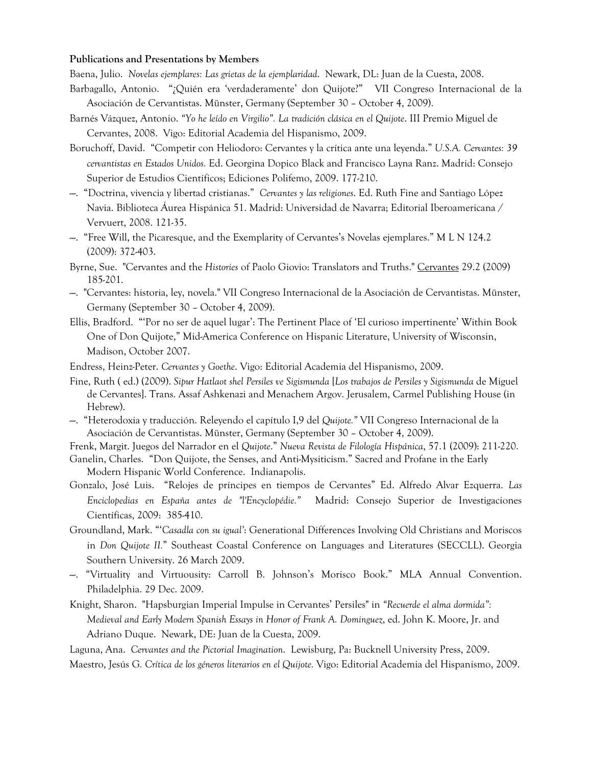#### **Publications and Presentations by Members**

Baena, Julio. *Novelas ejemplares: Las grietas de la ejemplaridad*. Newark, DL: Juan de la Cuesta, 2008.

- Barbagallo, Antonio. "¿Quién era 'verdaderamente' don Quijote?" VII Congreso Internacional de la Asociación de Cervantistas. Münster, Germany (September 30 – October 4, 2009).
- Barnés Vázquez, Antonio. *"Yo he leído en Virgilio". La tradición clásica en el Quijote*. III Premio Miguel de Cervantes, 2008. Vigo: Editorial Academia del Hispanismo, 2009.
- Boruchoff, David. "Competir con Heliodoro: Cervantes y la crítica ante una leyenda." *U.S.A. Cervantes: 39 cervantistas en Estados Unidos.* Ed. Georgina Dopico Black and Francisco Layna Ranz. Madrid: Consejo Superior de Estudios Científicos; Ediciones Polifemo, 2009. 177-210.
- ---. "Doctrina, vivencia y libertad cristianas." *Cervantes y las religiones*. Ed. Ruth Fine and Santiago López Navia. Biblioteca Áurea Hispánica 51. Madrid: Universidad de Navarra; Editorial Iberoamericana / Vervuert, 2008. 121-35.
- ---. "Free Will, the Picaresque, and the Exemplarity of Cervantes's Novelas ejemplares." M L N 124.2 (2009): 372-403.
- Byrne, Sue. "Cervantes and the *Histories* of Paolo Giovio: Translators and Truths." Cervantes 29.2 (2009) 185-201.
- ---. "Cervantes: historia, ley, novela." VII Congreso Internacional de la Asociación de Cervantistas. Münster, Germany (September 30 – October 4, 2009).
- Ellis, Bradford. "'Por no ser de aquel lugar': The Pertinent Place of 'El curioso impertinente' Within Book One of Don Quijote," Mid-America Conference on Hispanic Literature, University of Wisconsin, Madison, October 2007.
- Endress, Heinz-Peter. *Cervantes y Goethe*. Vigo: Editorial Academia del Hispanismo, 2009.
- Fine, Ruth ( ed.) (2009). *Sipur Hatlaot shel Persiles ve Sigismunda* [*Los trabajos de Persiles y Sigismunda* de Miguel de Cervantes]. Trans. Assaf Ashkenazi and Menachem Argov. Jerusalem, Carmel Publishing House (in Hebrew).
- ---. "Heterodoxia y traducción. Releyendo el capítulo I,9 del *Quijote."* VII Congreso Internacional de la Asociación de Cervantistas. Münster, Germany (September 30 – October 4, 2009).
- Frenk, Margit. Juegos del Narrador en el *Quijote*." *Nueva Revista de Filología Hispánica*, 57.1 (2009): 211-220.
- Ganelin, Charles. "Don Quijote, the Senses, and Anti-Mysiticism." Sacred and Profane in the Early Modern Hispanic World Conference. Indianapolis.
- Gonzalo, José Luis. "Relojes de príncipes en tiempos de Cervantes" Ed. Alfredo Alvar Ezquerra. *Las Enciclopedias en España antes de "l'Encyclopédie."* Madrid: Consejo Superior de Investigaciones Científicas, 2009: 385-410.
- Groundland, Mark. "'*Casadla con su igual'*: Generational Differences Involving Old Christians and Moriscos in *Don Quijote II.*" Southeast Coastal Conference on Languages and Literatures (SECCLL). Georgia Southern University. 26 March 2009.
- ---. "Virtuality and Virtuousity: Carroll B. Johnson's Morisco Book." MLA Annual Convention. Philadelphia. 29 Dec. 2009.
- Knight, Sharon. "Hapsburgian Imperial Impulse in Cervantes' Persiles" in *"Recuerde el alma dormida": Medieval and Early Modern Spanish Essays in Honor of Frank A. Dominguez*, ed. John K. Moore, Jr. and Adriano Duque. Newark, DE: Juan de la Cuesta, 2009.

Laguna, Ana. *Cervantes and the Pictorial Imagination*. Lewisburg, Pa: Bucknell University Press, 2009.

Maestro, Jesús G*. Crítica de los géneros literarios en el Quijote.* Vigo: Editorial Academia del Hispanismo, 2009.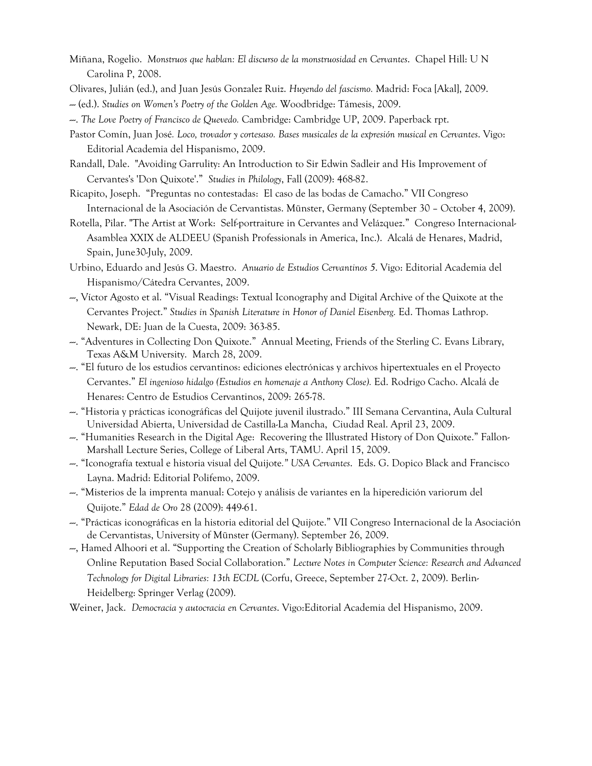- Miñana, Rogelio. *Monstruos que hablan: El discurso de la monstruosidad en Cervantes*. Chapel Hill: U N Carolina P, 2008.
- Olivares, Julián (ed.), and Juan Jesús Gonzalez Ruiz. *Huyendo del fascismo.* Madrid: Foca [Akal], 2009.
- --- (ed.). *Studies on Women's Poetry of the Golden Age.* Woodbridge: Támesis, 2009.
- ---. *The Love Poetry of Francisco de Quevedo.* Cambridge: Cambridge UP, 2009. Paperback rpt.
- Pastor Comín, Juan José*. Loco, trovador y cortesaso. Bases musicales de la expresión musical en Cervantes*. Vigo: Editorial Academia del Hispanismo, 2009.
- Randall, Dale. "Avoiding Garrulity: An Introduction to Sir Edwin Sadleir and His Improvement of Cervantes's 'Don Quixote'." *Studies in Philology*, Fall (2009): 468-82.
- Ricapito, Joseph. "Preguntas no contestadas: El caso de las bodas de Camacho." VII Congreso Internacional de la Asociación de Cervantistas. Münster, Germany (September 30 – October 4, 2009).
- Rotella, Pilar. "The Artist at Work: Self-portraiture in Cervantes and Velázquez." Congreso Internacional-Asamblea XXIX de ALDEEU (Spanish Professionals in America, Inc.). Alcalá de Henares, Madrid, Spain, June30-July, 2009.
- Urbino, Eduardo and Jesús G. Maestro. *Anuario de Estudios Cervantinos 5*. Vigo: Editorial Academia del Hispanismo/Cátedra Cervantes, 2009.
- ---, Víctor Agosto et al. "Visual Readings: Textual Iconography and Digital Archive of the Quixote at the Cervantes Project." *Studies in Spanish Literature in Honor of Daniel Eisenberg.* Ed. Thomas Lathrop. Newark, DE: Juan de la Cuesta, 2009: 363-85.
- ---. "Adventures in Collecting Don Quixote." Annual Meeting, Friends of the Sterling C. Evans Library, Texas A&M University. March 28, 2009.
- ---. "El futuro de los estudios cervantinos: ediciones electrónicas y archivos hipertextuales en el Proyecto Cervantes." *El ingenioso hidalgo (Estudios en homenaje a Anthony Close).* Ed. Rodrigo Cacho. Alcalá de Henares: Centro de Estudios Cervantinos, 2009: 265-78.
- ---. "Historia y prácticas iconográficas del Quijote juvenil ilustrado." III Semana Cervantina, Aula Cultural Universidad Abierta, Universidad de Castilla-La Mancha, Ciudad Real. April 23, 2009.
- ---. "Humanities Research in the Digital Age: Recovering the Illustrated History of Don Quixote." Fallon-Marshall Lecture Series, College of Liberal Arts, TAMU. April 15, 2009.
- ---. "Iconografía textual e historia visual del Quijote*." USA Cervantes*. Eds. G. Dopico Black and Francisco Layna. Madrid: Editorial Polifemo, 2009.
- ---. "Misterios de la imprenta manual: Cotejo y análisis de variantes en la hiperedición variorum del Quijote." *Edad de Oro* 28 (2009): 449-61.
- ---. "Prácticas iconográficas en la historia editorial del Quijote." VII Congreso Internacional de la Asociación de Cervantistas, University of Münster (Germany). September 26, 2009.
- ---, Hamed Alhoori et al. "Supporting the Creation of Scholarly Bibliographies by Communities through Online Reputation Based Social Collaboration." *Lecture Notes in Computer Science: Research and Advanced Technology for Digital Libraries: 13th ECDL* (Corfu, Greece, September 27-Oct. 2, 2009). Berlin-Heidelberg: Springer Verlag (2009).
- Weiner, Jack. *Democracia y autocracia en Cervantes*. Vigo:Editorial Academia del Hispanismo, 2009.